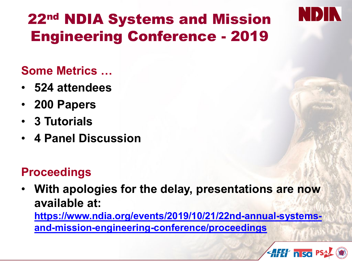

## 22nd NDIA Systems and Mission Engineering Conference - 2019

### **Some Metrics …**

- **524 attendees**
- **200 Papers**
- **3 Tutorials**
- **4 Panel Discussion**

### **Proceedings**

• **With apologies for the delay, presentations are now available at:**

**[https://www.ndia.org/events/2019/10/21/22nd-annual-systems](https://www.ndia.org/events/2019/10/21/22nd-annual-systems-and-mission-engineering-conference/proceedings)and-mission-engineering-conference/proceedings**

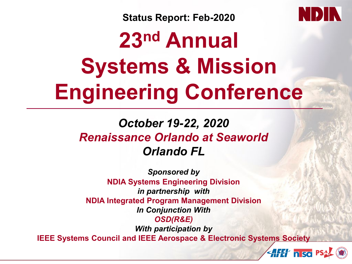

**AFET nisa PSA** 

**Status Report: Feb-2020**

# **23nd Annual Systems & Mission Engineering Conference**

### *October 19-22, 2020 Renaissance Orlando at Seaworld Orlando FL*

*Sponsored by* **NDIA Systems Engineering Division** *in partnership with* **NDIA Integrated Program Management Division** *In Conjunction With OSD(R&E) With participation by* **IEEE Systems Council and IEEE Aerospace & Electronic Systems Society**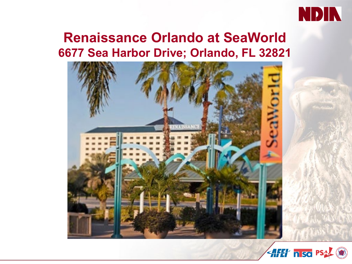

### **Renaissance Orlando at SeaWorld 6677 Sea Harbor Drive; Orlando, FL 32821**



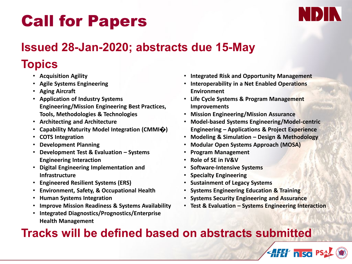# Call for Papers



#### **Issued 28-Jan-2020; abstracts due 15-May**

#### **Topics**

- **Acquisition Agility**
- **Agile Systems Engineering**
- **Aging Aircraft**
- **Application of Industry Systems Engineering/Mission Engineering Best Practices, Tools, Methodologies & Technologies**
- **Architecting and Architecture**
- **Capability Maturity Model Integration (CMMI�)**
- **COTS Integration**
- **Development Planning**
- **Development Test & Evaluation – Systems Engineering Interaction**
- **Digital Engineering Implementation and Infrastructure**
- **Engineered Resilient Systems (ERS)**
- **Environment, Safety, & Occupational Health**
- **Human Systems Integration**
- **Improve Mission Readiness & Systems Availability**
- **Integrated Diagnostics/Prognostics/Enterprise Health Management**
- **Integrated Risk and Opportunity Management**
- **Interoperability in a Net Enabled Operations Environment**
- **Life Cycle Systems & Program Management Improvements**
- **Mission Engineering/Mission Assurance**
- **Model-based Systems Engineering/Model-centric Engineering – Applications & Project Experience**
- **Modeling & Simulation – Design & Methodology**
- **Modular Open Systems Approach (MOSA)**
- **Program Management**
- **Role of SE in IV&V**
- **Software-Intensive Systems**
- **Specialty Engineering**
- **Sustainment of Legacy Systems**
- **Systems Engineering Education & Training**
- **Systems Security Engineering and Assurance**
- **Test & Evaluation – Systems Engineering Interaction**

**AFET nisa** PS

#### **Tracks will be defined based on abstracts submitted**